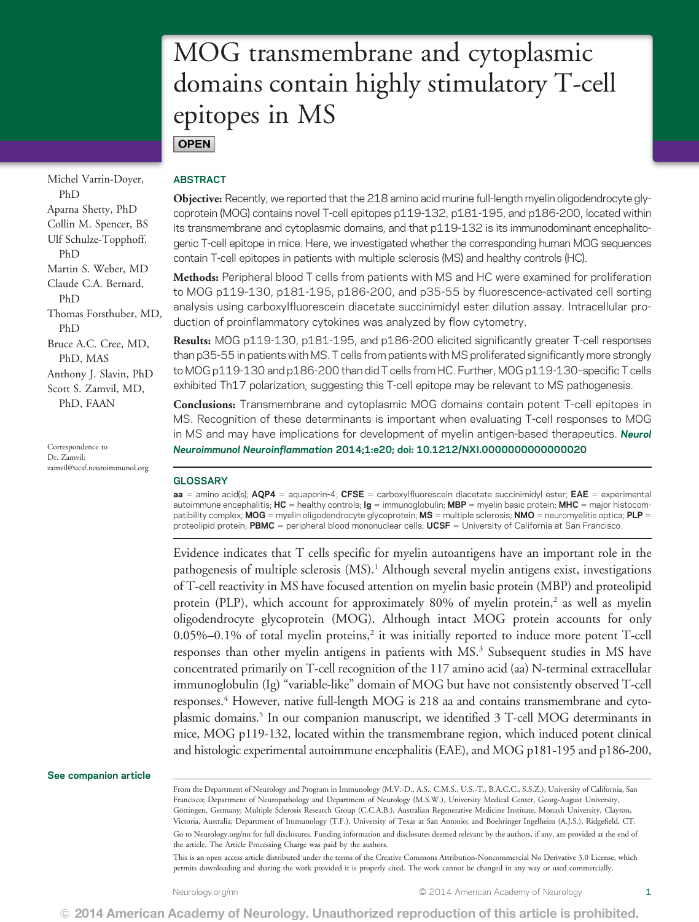# MOG transmembrane and cytoplasmic domains contain highly stimulatory T-cell epitopes in MS **OPEN**

Michel Varrin-Doyer, PhD Aparna Shetty, PhD Collin M. Spencer, BS Ulf Schulze-Topphoff, PhD Martin S. Weber, MD Claude C.A. Bernard, PhD Thomas Forsthuber, MD, PhD Bruce A.C. Cree, MD, PhD, MAS Anthony J. Slavin, PhD Scott S. Zamvil, MD, PhD, FAAN

Correspondence to Dr. Zamvil: zamvil@ucsf.neuroimmunol.org

# ABSTRACT

Objective: Recently, we reported that the 218 amino acid murine full-length myelin oligodendrocyte glycoprotein (MOG) contains novel T-cell epitopes p119-132, p181-195, and p186-200, located within its transmembrane and cytoplasmic domains, and that p119-132 is its immunodominant encephalitogenic T-cell epitope in mice. Here, we investigated whether the corresponding human MOG sequences contain T-cell epitopes in patients with multiple sclerosis (MS) and healthy controls (HC).

Methods: Peripheral blood T cells from patients with MS and HC were examined for proliferation to MOG p119-130, p181-195, p186-200, and p35-55 by fluorescence-activated cell sorting analysis using carboxylfluorescein diacetate succinimidyl ester dilution assay. Intracellular production of proinflammatory cytokines was analyzed by flow cytometry.

Results: MOG p119-130, p181-195, and p186-200 elicited significantly greater T-cell responses than p35-55 in patients with MS. T cells from patients with MS proliferated significantly more strongly to MOG p119-130 and p186-200 than did T cells from HC. Further, MOG p119-130–specific T cells exhibited Th17 polarization, suggesting this T-cell epitope may be relevant to MS pathogenesis.

Conclusions: Transmembrane and cytoplasmic MOG domains contain potent T-cell epitopes in MS. Recognition of these determinants is important when evaluating T-cell responses to MOG in MS and may have implications for development of myelin antigen-based therapeutics. Neurol Neuroimmunol Neuroinflammation 2014;1:e20; doi: 10.1212/NXI.0000000000000020

# **GLOSSARY**

 $aa =$  amino acid(s);  $AQP4 =$  aquaporin-4; CFSE = carboxylfluorescein diacetate succinimidyl ester; EAE = experimental autoimmune encephalitis;  $HC =$  healthy controls;  $lg =$  immunoglobulin; MBP = myelin basic protein; MHC = major histocompatibility complex;  $MOG =$  myelin oligodendrocyte glycoprotein;  $MS =$  multiple sclerosis;  $NMO =$  neuromyelitis optica;  $PLP =$ proteolipid protein; PBMC = peripheral blood mononuclear cells; UCSF = University of California at San Francisco.

Evidence indicates that T cells specific for myelin autoantigens have an important role in the pathogenesis of multiple sclerosis (MS).<sup>1</sup> Although several myelin antigens exist, investigations of T-cell reactivity in MS have focused attention on myelin basic protein (MBP) and proteolipid protein (PLP), which account for approximately  $80\%$  of myelin protein,<sup>2</sup> as well as myelin oligodendrocyte glycoprotein (MOG). Although intact MOG protein accounts for only  $0.05\%$ –0.1% of total myelin proteins,<sup>2</sup> it was initially reported to induce more potent T-cell responses than other myelin antigens in patients with MS.<sup>3</sup> Subsequent studies in MS have concentrated primarily on T-cell recognition of the 117 amino acid (aa) N-terminal extracellular immunoglobulin (Ig) "variable-like" domain of MOG but have not consistently observed T-cell responses.4 However, native full-length MOG is 218 aa and contains transmembrane and cytoplasmic domains.5 In our companion manuscript, we identified 3 T-cell MOG determinants in mice, MOG p119-132, located within the transmembrane region, which induced potent clinical and histologic experimental autoimmune encephalitis (EAE), and MOG p181-195 and p186-200,

### See companion article

From the Department of Neurology and Program in Immunology (M.V.-D., A.S., C.M.S., U.S.-T., B.A.C.C., S.S.Z.), University of California, San Francisco; Department of Neuropathology and Department of Neurology (M.S.W.), University Medical Center, Georg-August University, Göttingen, Germany; Multiple Sclerosis Research Group (C.C.A.B.), Australian Regenerative Medicine Institute, Monash University, Clayton, Victoria, Australia; Department of Immunology (T.F.), University of Texas at San Antonio; and Boehringer Ingelheim (A.J.S.), Ridgefield, CT. Go to Neurology.org/nn for full disclosures. Funding information and disclosures deemed relevant by the authors, if any, are provided at the end of the article. The Article Processing Charge was paid by the authors.

This is an open access article distributed under the terms of the Creative Commons Attribution-Noncommercial No Derivative 3.0 License, which permits downloading and sharing the work provided it is properly cited. The work cannot be changed in any way or used commercially.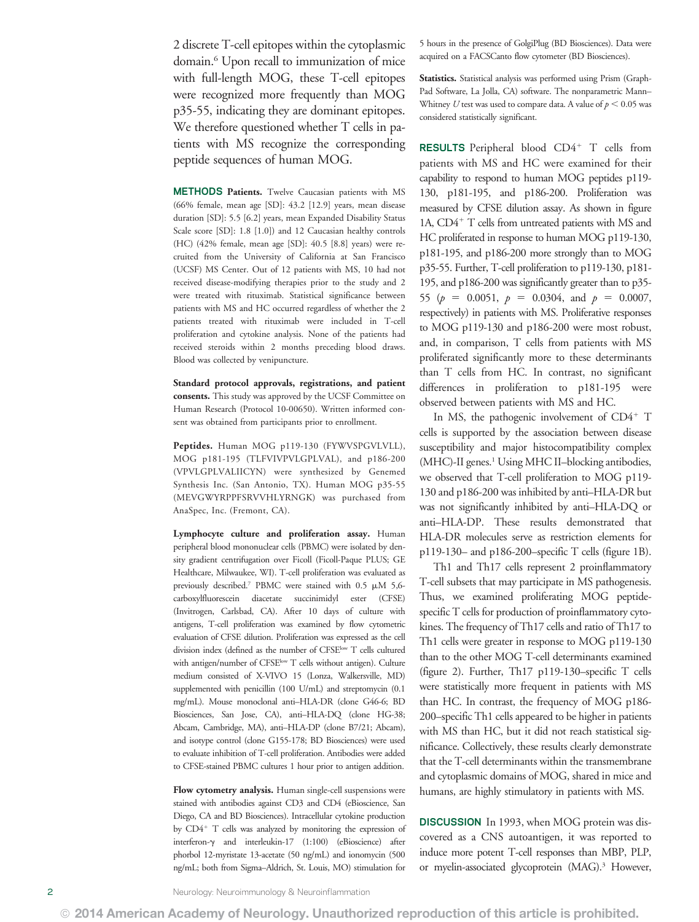2 discrete T-cell epitopes within the cytoplasmic domain.6 Upon recall to immunization of mice with full-length MOG, these T-cell epitopes were recognized more frequently than MOG p35-55, indicating they are dominant epitopes. We therefore questioned whether T cells in patients with MS recognize the corresponding peptide sequences of human MOG.

METHODS Patients. Twelve Caucasian patients with MS (66% female, mean age [SD]: 43.2 [12.9] years, mean disease duration [SD]: 5.5 [6.2] years, mean Expanded Disability Status Scale score [SD]: 1.8 [1.0]) and 12 Caucasian healthy controls (HC) (42% female, mean age [SD]: 40.5 [8.8] years) were recruited from the University of California at San Francisco (UCSF) MS Center. Out of 12 patients with MS, 10 had not received disease-modifying therapies prior to the study and 2 were treated with rituximab. Statistical significance between patients with MS and HC occurred regardless of whether the 2 patients treated with rituximab were included in T-cell proliferation and cytokine analysis. None of the patients had received steroids within 2 months preceding blood draws. Blood was collected by venipuncture.

Standard protocol approvals, registrations, and patient consents. This study was approved by the UCSF Committee on Human Research (Protocol 10-00650). Written informed consent was obtained from participants prior to enrollment.

Peptides. Human MOG p119-130 (FYWVSPGVLVLL), MOG p181-195 (TLFVIVPVLGPLVAL), and p186-200 (VPVLGPLVALIICYN) were synthesized by Genemed Synthesis Inc. (San Antonio, TX). Human MOG p35-55 (MEVGWYRPPFSRVVHLYRNGK) was purchased from AnaSpec, Inc. (Fremont, CA).

Lymphocyte culture and proliferation assay. Human peripheral blood mononuclear cells (PBMC) were isolated by density gradient centrifugation over Ficoll (Ficoll-Paque PLUS; GE Healthcare, Milwaukee, WI). T-cell proliferation was evaluated as previously described.<sup>7</sup> PBMC were stained with 0.5  $\mu$ M 5,6carboxylfluorescein diacetate succinimidyl ester (CFSE) (Invitrogen, Carlsbad, CA). After 10 days of culture with antigens, T-cell proliferation was examined by flow cytometric evaluation of CFSE dilution. Proliferation was expressed as the cell division index (defined as the number of CFSE<sup>low</sup> T cells cultured with antigen/number of CFSE<sup>low</sup> T cells without antigen). Culture medium consisted of X-VIVO 15 (Lonza, Walkersville, MD) supplemented with penicillin (100 U/mL) and streptomycin (0.1 mg/mL). Mouse monoclonal anti–HLA-DR (clone G46-6; BD Biosciences, San Jose, CA), anti–HLA-DQ (clone HG-38; Abcam, Cambridge, MA), anti–HLA-DP (clone B7/21; Abcam), and isotype control (clone G155-178; BD Biosciences) were used to evaluate inhibition of T-cell proliferation. Antibodies were added to CFSE-stained PBMC cultures 1 hour prior to antigen addition.

Flow cytometry analysis. Human single-cell suspensions were stained with antibodies against CD3 and CD4 (eBioscience, San Diego, CA and BD Biosciences). Intracellular cytokine production by CD4<sup>+</sup> T cells was analyzed by monitoring the expression of interferon-g and interleukin-17 (1:100) (eBioscience) after phorbol 12-myristate 13-acetate (50 ng/mL) and ionomycin (500 ng/mL; both from Sigma–Aldrich, St. Louis, MO) stimulation for

5 hours in the presence of GolgiPlug (BD Biosciences). Data were acquired on a FACSCanto flow cytometer (BD Biosciences).

Statistics. Statistical analysis was performed using Prism (Graph-Pad Software, La Jolla, CA) software. The nonparametric Mann– Whitney U test was used to compare data. A value of  $p < 0.05$  was considered statistically significant.

RESULTS Peripheral blood  $CD4^+$  T cells from patients with MS and HC were examined for their capability to respond to human MOG peptides p119- 130, p181-195, and p186-200. Proliferation was measured by CFSE dilution assay. As shown in figure 1A,  $CD4^+$  T cells from untreated patients with MS and HC proliferated in response to human MOG p119-130, p181-195, and p186-200 more strongly than to MOG p35-55. Further, T-cell proliferation to p119-130, p181- 195, and p186-200 was significantly greater than to p35- 55 ( $p = 0.0051$ ,  $p = 0.0304$ , and  $p = 0.0007$ , respectively) in patients with MS. Proliferative responses to MOG p119-130 and p186-200 were most robust, and, in comparison, T cells from patients with MS proliferated significantly more to these determinants than T cells from HC. In contrast, no significant differences in proliferation to p181-195 were observed between patients with MS and HC.

In MS, the pathogenic involvement of  $CD4^+$  T cells is supported by the association between disease susceptibility and major histocompatibility complex (MHC)-II genes.<sup>1</sup> Using MHC II–blocking antibodies, we observed that T-cell proliferation to MOG p119- 130 and p186-200 was inhibited by anti–HLA-DR but was not significantly inhibited by anti–HLA-DQ or anti–HLA-DP. These results demonstrated that HLA-DR molecules serve as restriction elements for p119-130– and p186-200–specific T cells (figure 1B).

Th1 and Th17 cells represent 2 proinflammatory T-cell subsets that may participate in MS pathogenesis. Thus, we examined proliferating MOG peptidespecific T cells for production of proinflammatory cytokines. The frequency of Th17 cells and ratio of Th17 to Th1 cells were greater in response to MOG p119-130 than to the other MOG T-cell determinants examined (figure 2). Further, Th17 p119-130–specific T cells were statistically more frequent in patients with MS than HC. In contrast, the frequency of MOG p186- 200–specific Th1 cells appeared to be higher in patients with MS than HC, but it did not reach statistical significance. Collectively, these results clearly demonstrate that the T-cell determinants within the transmembrane and cytoplasmic domains of MOG, shared in mice and humans, are highly stimulatory in patients with MS.

DISCUSSION In 1993, when MOG protein was discovered as a CNS autoantigen, it was reported to induce more potent T-cell responses than MBP, PLP, or myelin-associated glycoprotein (MAG).<sup>3</sup> However,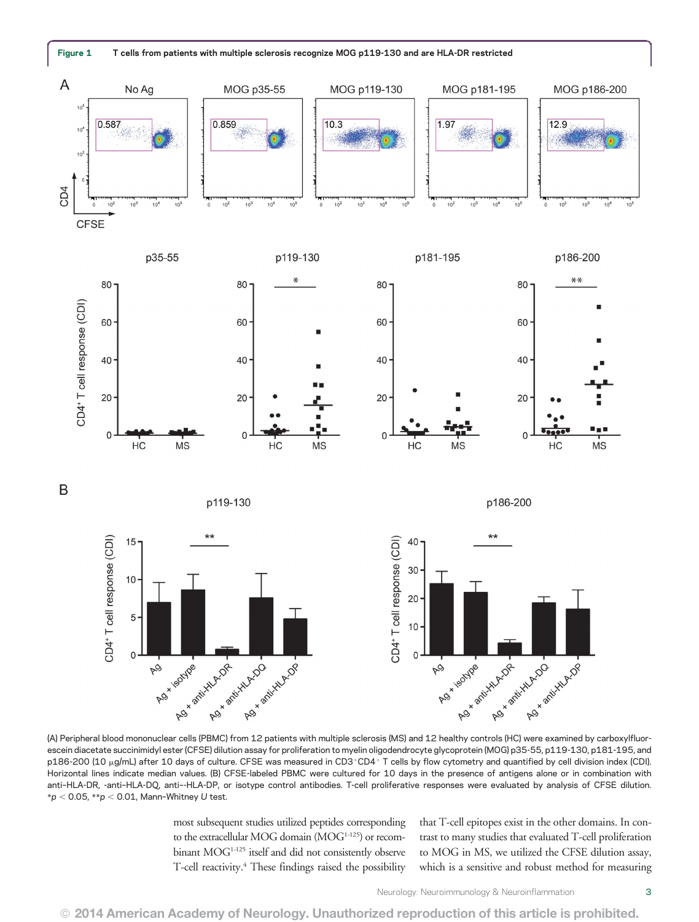

(A) Peripheral blood mononuclear cells (PBMC) from 12 patients with multiple sclerosis (MS) and 12 healthy controls (HC) were examined by carboxylfluorescein diacetate succinimidyl ester (CFSE) dilution assay for proliferation to myelin oligodendrocyte glycoprotein (MOG) p35-55, p119-130, p181-195, and p186-200 (10 µg/mL) after 10 days of culture. CFSE was measured in CD3+CD4+ T cells by flow cytometry and quantified by cell division index (CDI). Horizontal lines indicate median values. (B) CFSE-labeled PBMC were cultured for 10 days in the presence of antigens alone or in combination with anti–HLA-DR, -anti–HLA-DQ, anti–-HLA-DP, or isotype control antibodies. T-cell proliferative responses were evaluated by analysis of CFSE dilution.  $*p < 0.05$ ,  $*p < 0.01$ , Mann-Whitney U test.

most subsequent studies utilized peptides corresponding to the extracellular MOG domain (MOG<sup>1-125</sup>) or recombinant MOG<sup>1-125</sup> itself and did not consistently observe T-cell reactivity.<sup>4</sup> These findings raised the possibility that T-cell epitopes exist in the other domains. In contrast to many studies that evaluated T-cell proliferation to MOG in MS, we utilized the CFSE dilution assay, which is a sensitive and robust method for measuring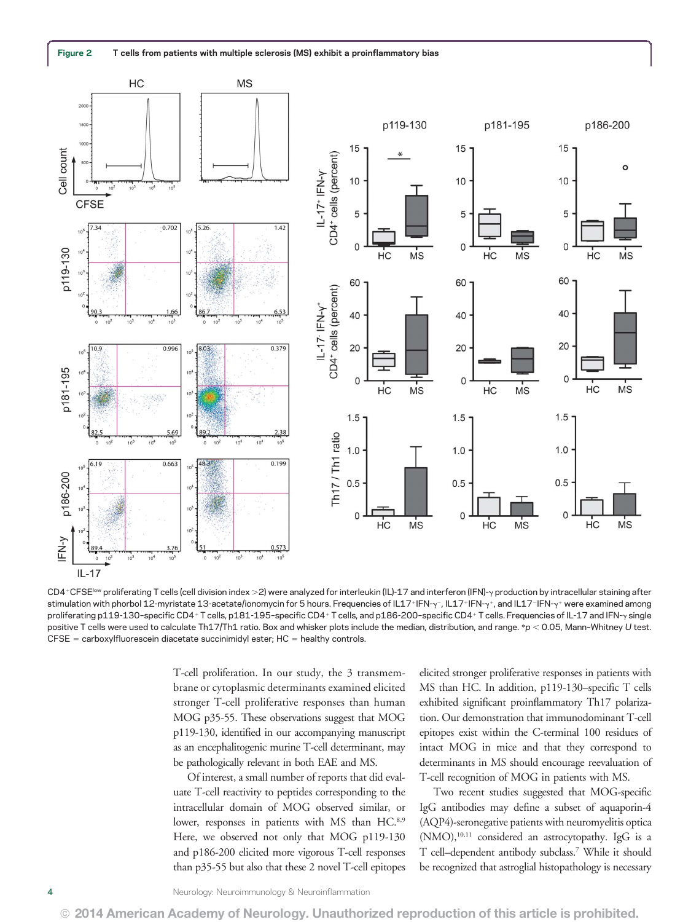

CD4+CFSE<sup>low</sup> proliferating T cells (cell division index >2) were analyzed for interleukin (IL)-17 and interferon (IFN)-y production by intracellular staining after stimulation with phorbol 12-myristate 13-acetate/ionomycin for 5 hours. Frequencies of IL17+IFN-y-, IL17+IFN-y-, and IL17-IFN-y+ were examined among proliferating p119-130-specific CD4+T cells, p181-195-specific CD4+T cells, and p186-200-specific CD4+T cells. Frequencies of IL-17 and IFN-y single positive T cells were used to calculate Th17/Th1 ratio. Box and whisker plots include the median, distribution, and range. \*p < 0.05, Mann-Whitney U test.  $CFSE =$  carboxylfluorescein diacetate succinimidyl ester;  $HC =$  healthy controls.

T-cell proliferation. In our study, the 3 transmembrane or cytoplasmic determinants examined elicited stronger T-cell proliferative responses than human MOG p35-55. These observations suggest that MOG p119-130, identified in our accompanying manuscript as an encephalitogenic murine T-cell determinant, may be pathologically relevant in both EAE and MS.

Of interest, a small number of reports that did evaluate T-cell reactivity to peptides corresponding to the intracellular domain of MOG observed similar, or lower, responses in patients with MS than HC.<sup>8,9</sup> Here, we observed not only that MOG p119-130 and p186-200 elicited more vigorous T-cell responses than p35-55 but also that these 2 novel T-cell epitopes elicited stronger proliferative responses in patients with MS than HC. In addition, p119-130–specific T cells exhibited significant proinflammatory Th17 polarization. Our demonstration that immunodominant T-cell epitopes exist within the C-terminal 100 residues of intact MOG in mice and that they correspond to determinants in MS should encourage reevaluation of T-cell recognition of MOG in patients with MS.

Two recent studies suggested that MOG-specific IgG antibodies may define a subset of aquaporin-4 (AQP4)-seronegative patients with neuromyelitis optica  $(NMO),<sup>10,11</sup>$  considered an astrocytopathy. IgG is a T cell–dependent antibody subclass.7 While it should be recognized that astroglial histopathology is necessary